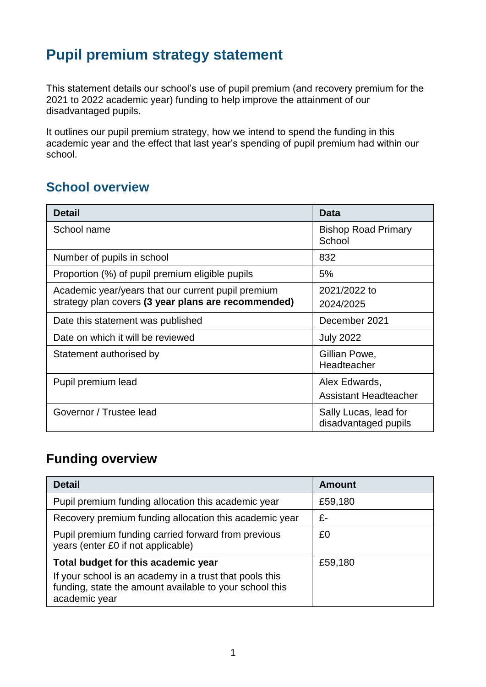# **Pupil premium strategy statement**

This statement details our school's use of pupil premium (and recovery premium for the 2021 to 2022 academic year) funding to help improve the attainment of our disadvantaged pupils.

It outlines our pupil premium strategy, how we intend to spend the funding in this academic year and the effect that last year's spending of pupil premium had within our school.

### **School overview**

| <b>Detail</b>                                                                                             | Data                                          |
|-----------------------------------------------------------------------------------------------------------|-----------------------------------------------|
| School name                                                                                               | <b>Bishop Road Primary</b><br>School          |
| Number of pupils in school                                                                                | 832                                           |
| Proportion (%) of pupil premium eligible pupils                                                           | 5%                                            |
| Academic year/years that our current pupil premium<br>strategy plan covers (3 year plans are recommended) | 2021/2022 to<br>2024/2025                     |
| Date this statement was published                                                                         | December 2021                                 |
| Date on which it will be reviewed                                                                         | <b>July 2022</b>                              |
| Statement authorised by                                                                                   | Gillian Powe,<br>Headteacher                  |
| Pupil premium lead                                                                                        | Alex Edwards,<br><b>Assistant Headteacher</b> |
| Governor / Trustee lead                                                                                   | Sally Lucas, lead for<br>disadvantaged pupils |

#### **Funding overview**

| <b>Detail</b>                                                                                                                       | <b>Amount</b> |
|-------------------------------------------------------------------------------------------------------------------------------------|---------------|
| Pupil premium funding allocation this academic year                                                                                 | £59,180       |
| Recovery premium funding allocation this academic year                                                                              | £-            |
| Pupil premium funding carried forward from previous<br>years (enter £0 if not applicable)                                           | £0            |
| Total budget for this academic year                                                                                                 | £59,180       |
| If your school is an academy in a trust that pools this<br>funding, state the amount available to your school this<br>academic year |               |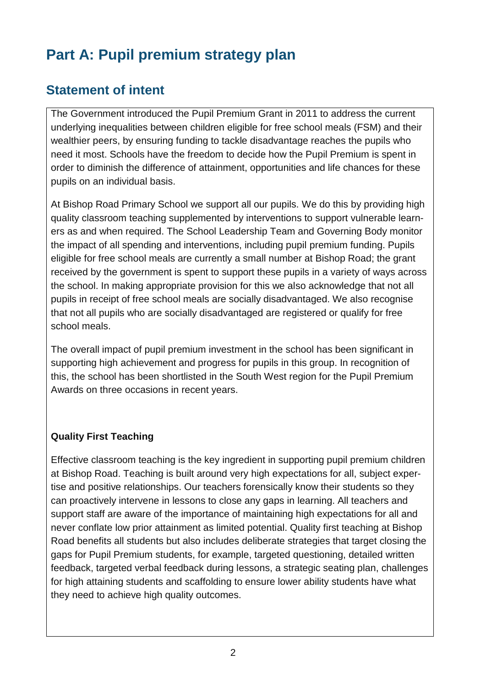# **Part A: Pupil premium strategy plan**

### **Statement of intent**

The Government introduced the Pupil Premium Grant in 2011 to address the current underlying inequalities between children eligible for free school meals (FSM) and their wealthier peers, by ensuring funding to tackle disadvantage reaches the pupils who need it most. Schools have the freedom to decide how the Pupil Premium is spent in order to diminish the difference of attainment, opportunities and life chances for these pupils on an individual basis.

At Bishop Road Primary School we support all our pupils. We do this by providing high quality classroom teaching supplemented by interventions to support vulnerable learners as and when required. The School Leadership Team and Governing Body monitor the impact of all spending and interventions, including pupil premium funding. Pupils eligible for free school meals are currently a small number at Bishop Road; the grant received by the government is spent to support these pupils in a variety of ways across the school. In making appropriate provision for this we also acknowledge that not all pupils in receipt of free school meals are socially disadvantaged. We also recognise that not all pupils who are socially disadvantaged are registered or qualify for free school meals.

The overall impact of pupil premium investment in the school has been significant in supporting high achievement and progress for pupils in this group. In recognition of this, the school has been shortlisted in the South West region for the Pupil Premium Awards on three occasions in recent years.

#### **Quality First Teaching**

Effective classroom teaching is the key ingredient in supporting pupil premium children at Bishop Road. Teaching is built around very high expectations for all, subject expertise and positive relationships. Our teachers forensically know their students so they can proactively intervene in lessons to close any gaps in learning. All teachers and support staff are aware of the importance of maintaining high expectations for all and never conflate low prior attainment as limited potential. Quality first teaching at Bishop Road benefits all students but also includes deliberate strategies that target closing the gaps for Pupil Premium students, for example, targeted questioning, detailed written feedback, targeted verbal feedback during lessons, a strategic seating plan, challenges for high attaining students and scaffolding to ensure lower ability students have what they need to achieve high quality outcomes.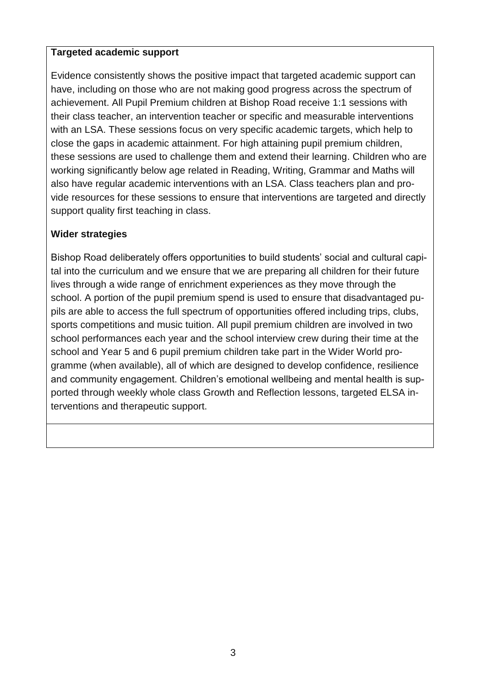#### **Targeted academic support**

Evidence consistently shows the positive impact that targeted academic support can have, including on those who are not making good progress across the spectrum of achievement. All Pupil Premium children at Bishop Road receive 1:1 sessions with their class teacher, an intervention teacher or specific and measurable interventions with an LSA. These sessions focus on very specific academic targets, which help to close the gaps in academic attainment. For high attaining pupil premium children, these sessions are used to challenge them and extend their learning. Children who are working significantly below age related in Reading, Writing, Grammar and Maths will also have regular academic interventions with an LSA. Class teachers plan and provide resources for these sessions to ensure that interventions are targeted and directly support quality first teaching in class.

#### **Wider strategies**

Bishop Road deliberately offers opportunities to build students' social and cultural capital into the curriculum and we ensure that we are preparing all children for their future lives through a wide range of enrichment experiences as they move through the school. A portion of the pupil premium spend is used to ensure that disadvantaged pupils are able to access the full spectrum of opportunities offered including trips, clubs, sports competitions and music tuition. All pupil premium children are involved in two school performances each year and the school interview crew during their time at the school and Year 5 and 6 pupil premium children take part in the Wider World programme (when available), all of which are designed to develop confidence, resilience and community engagement. Children's emotional wellbeing and mental health is supported through weekly whole class Growth and Reflection lessons, targeted ELSA interventions and therapeutic support.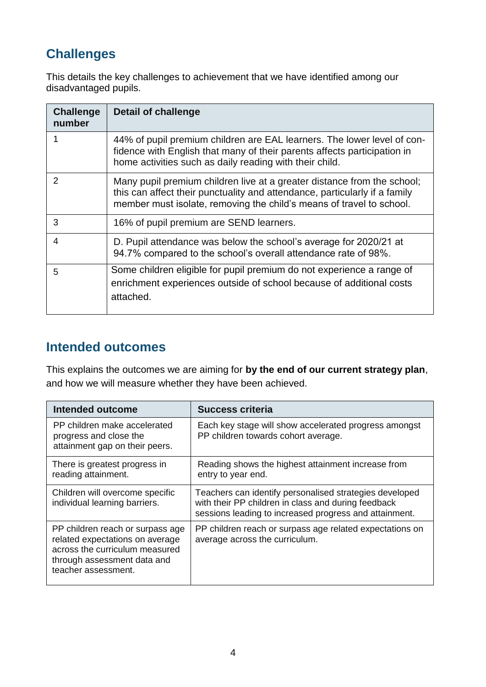### **Challenges**

This details the key challenges to achievement that we have identified among our disadvantaged pupils.

| <b>Challenge</b><br>number | <b>Detail of challenge</b>                                                                                                                                                                                                    |
|----------------------------|-------------------------------------------------------------------------------------------------------------------------------------------------------------------------------------------------------------------------------|
|                            | 44% of pupil premium children are EAL learners. The lower level of con-<br>fidence with English that many of their parents affects participation in<br>home activities such as daily reading with their child.                |
| 2                          | Many pupil premium children live at a greater distance from the school;<br>this can affect their punctuality and attendance, particularly if a family<br>member must isolate, removing the child's means of travel to school. |
| 3                          | 16% of pupil premium are SEND learners.                                                                                                                                                                                       |
| 4                          | D. Pupil attendance was below the school's average for 2020/21 at<br>94.7% compared to the school's overall attendance rate of 98%.                                                                                           |
| 5                          | Some children eligible for pupil premium do not experience a range of<br>enrichment experiences outside of school because of additional costs<br>attached.                                                                    |

### **Intended outcomes**

This explains the outcomes we are aiming for **by the end of our current strategy plan**, and how we will measure whether they have been achieved.

| Intended outcome                                                                                                                                            | <b>Success criteria</b>                                                                                                                                                  |
|-------------------------------------------------------------------------------------------------------------------------------------------------------------|--------------------------------------------------------------------------------------------------------------------------------------------------------------------------|
| PP children make accelerated<br>progress and close the<br>attainment gap on their peers.                                                                    | Each key stage will show accelerated progress amongst<br>PP children towards cohort average.                                                                             |
| There is greatest progress in<br>reading attainment.                                                                                                        | Reading shows the highest attainment increase from<br>entry to year end.                                                                                                 |
| Children will overcome specific<br>individual learning barriers.                                                                                            | Teachers can identify personalised strategies developed<br>with their PP children in class and during feedback<br>sessions leading to increased progress and attainment. |
| PP children reach or surpass age<br>related expectations on average<br>across the curriculum measured<br>through assessment data and<br>teacher assessment. | PP children reach or surpass age related expectations on<br>average across the curriculum.                                                                               |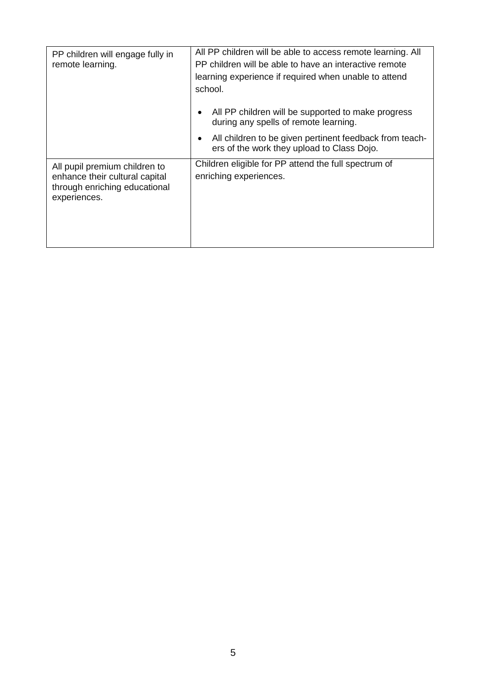| PP children will engage fully in<br>remote learning.                                                             | All PP children will be able to access remote learning. All<br>PP children will be able to have an interactive remote<br>learning experience if required when unable to attend<br>school. |
|------------------------------------------------------------------------------------------------------------------|-------------------------------------------------------------------------------------------------------------------------------------------------------------------------------------------|
|                                                                                                                  | All PP children will be supported to make progress<br>٠<br>during any spells of remote learning.                                                                                          |
|                                                                                                                  | All children to be given pertinent feedback from teach-<br>٠<br>ers of the work they upload to Class Dojo.                                                                                |
| All pupil premium children to<br>enhance their cultural capital<br>through enriching educational<br>experiences. | Children eligible for PP attend the full spectrum of<br>enriching experiences.                                                                                                            |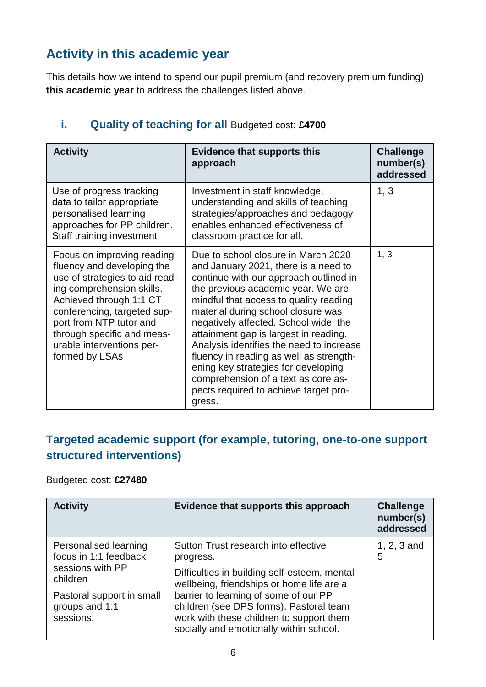### **Activity in this academic year**

This details how we intend to spend our pupil premium (and recovery premium funding) **this academic year** to address the challenges listed above.

| <b>Activity</b>                                                                                                                                                                                                                                                                           | <b>Evidence that supports this</b><br>approach                                                                                                                                                                                                                                                                                                                                                                                                                                                                                                        | <b>Challenge</b><br>number(s)<br>addressed |
|-------------------------------------------------------------------------------------------------------------------------------------------------------------------------------------------------------------------------------------------------------------------------------------------|-------------------------------------------------------------------------------------------------------------------------------------------------------------------------------------------------------------------------------------------------------------------------------------------------------------------------------------------------------------------------------------------------------------------------------------------------------------------------------------------------------------------------------------------------------|--------------------------------------------|
| Use of progress tracking<br>data to tailor appropriate<br>personalised learning<br>approaches for PP children.<br>Staff training investment                                                                                                                                               | Investment in staff knowledge,<br>understanding and skills of teaching<br>strategies/approaches and pedagogy<br>enables enhanced effectiveness of<br>classroom practice for all.                                                                                                                                                                                                                                                                                                                                                                      | 1, 3                                       |
| Focus on improving reading<br>fluency and developing the<br>use of strategies to aid read-<br>ing comprehension skills.<br>Achieved through 1:1 CT<br>conferencing, targeted sup-<br>port from NTP tutor and<br>through specific and meas-<br>urable interventions per-<br>formed by LSAs | Due to school closure in March 2020<br>and January 2021, there is a need to<br>continue with our approach outlined in<br>the previous academic year. We are<br>mindful that access to quality reading<br>material during school closure was<br>negatively affected. School wide, the<br>attainment gap is largest in reading.<br>Analysis identifies the need to increase<br>fluency in reading as well as strength-<br>ening key strategies for developing<br>comprehension of a text as core as-<br>pects required to achieve target pro-<br>gress. | 1, 3                                       |

#### **i.** Quality of teaching for all Budgeted cost: £4700

#### **Targeted academic support (for example, tutoring, one-to-one support structured interventions)**

#### Budgeted cost: **£27480**

| <b>Activity</b>                                                                | Evidence that supports this approach                                                                                                                                    | <b>Challenge</b><br>number(s)<br>addressed |
|--------------------------------------------------------------------------------|-------------------------------------------------------------------------------------------------------------------------------------------------------------------------|--------------------------------------------|
| Personalised learning<br>focus in 1:1 feedback<br>sessions with PP<br>children | Sutton Trust research into effective<br>progress.<br>Difficulties in building self-esteem, mental<br>wellbeing, friendships or home life are a                          | 1, $2, 3$ and<br>5                         |
| Pastoral support in small<br>groups and 1:1<br>sessions.                       | barrier to learning of some of our PP<br>children (see DPS forms). Pastoral team<br>work with these children to support them<br>socially and emotionally within school. |                                            |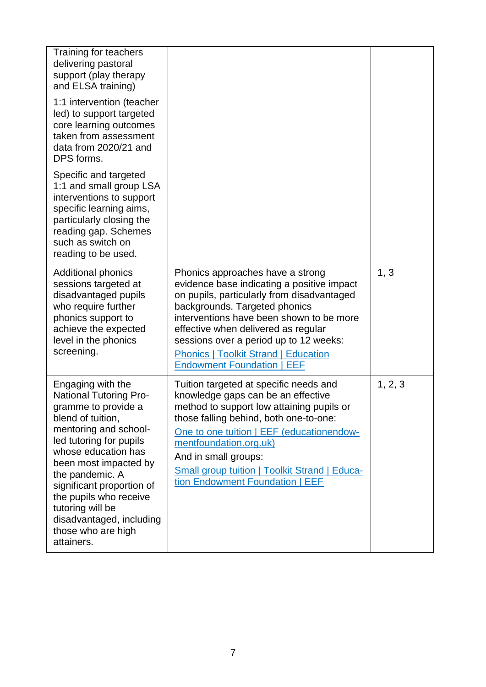| Training for teachers<br>delivering pastoral<br>support (play therapy<br>and ELSA training)                                                                                                                                                                                                                                                                      |                                                                                                                                                                                                                                                                                                                                                                                |         |
|------------------------------------------------------------------------------------------------------------------------------------------------------------------------------------------------------------------------------------------------------------------------------------------------------------------------------------------------------------------|--------------------------------------------------------------------------------------------------------------------------------------------------------------------------------------------------------------------------------------------------------------------------------------------------------------------------------------------------------------------------------|---------|
| 1:1 intervention (teacher<br>led) to support targeted<br>core learning outcomes<br>taken from assessment<br>data from 2020/21 and<br>DPS forms.                                                                                                                                                                                                                  |                                                                                                                                                                                                                                                                                                                                                                                |         |
| Specific and targeted<br>1:1 and small group LSA<br>interventions to support<br>specific learning aims,<br>particularly closing the<br>reading gap. Schemes<br>such as switch on<br>reading to be used.                                                                                                                                                          |                                                                                                                                                                                                                                                                                                                                                                                |         |
| <b>Additional phonics</b><br>sessions targeted at<br>disadvantaged pupils<br>who require further<br>phonics support to<br>achieve the expected<br>level in the phonics<br>screening.                                                                                                                                                                             | Phonics approaches have a strong<br>evidence base indicating a positive impact<br>on pupils, particularly from disadvantaged<br>backgrounds. Targeted phonics<br>interventions have been shown to be more<br>effective when delivered as regular<br>sessions over a period up to 12 weeks:<br><b>Phonics   Toolkit Strand   Education</b><br><b>Endowment Foundation   EEF</b> | 1, 3    |
| Engaging with the<br><b>National Tutoring Pro-</b><br>gramme to provide a<br>blend of tuition,<br>mentoring and school-<br>led tutoring for pupils<br>whose education has<br>been most impacted by<br>the pandemic. A<br>significant proportion of<br>the pupils who receive<br>tutoring will be<br>disadvantaged, including<br>those who are high<br>attainers. | Tuition targeted at specific needs and<br>knowledge gaps can be an effective<br>method to support low attaining pupils or<br>those falling behind, both one-to-one:<br>One to one tuition   EEF (educationendow-<br>mentfoundation.org.uk)<br>And in small groups:<br><b>Small group tuition   Toolkit Strand   Educa-</b><br>tion Endowment Foundation   EEF                  | 1, 2, 3 |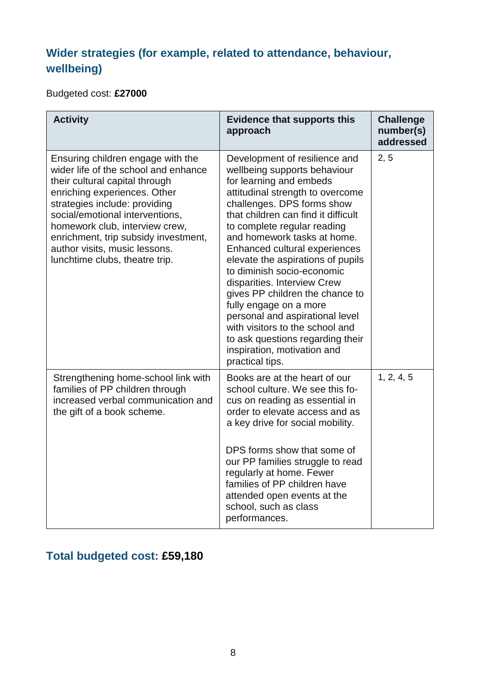### **Wider strategies (for example, related to attendance, behaviour, wellbeing)**

Budgeted cost: **£27000**

| <b>Activity</b>                                                                                                                                                                                                                                                                                                                                              | <b>Evidence that supports this</b><br>approach                                                                                                                                                                                                                                                                                                                                                                                                                                                                                                                                                                              | <b>Challenge</b><br>number(s)<br>addressed |  |
|--------------------------------------------------------------------------------------------------------------------------------------------------------------------------------------------------------------------------------------------------------------------------------------------------------------------------------------------------------------|-----------------------------------------------------------------------------------------------------------------------------------------------------------------------------------------------------------------------------------------------------------------------------------------------------------------------------------------------------------------------------------------------------------------------------------------------------------------------------------------------------------------------------------------------------------------------------------------------------------------------------|--------------------------------------------|--|
| Ensuring children engage with the<br>wider life of the school and enhance<br>their cultural capital through<br>enriching experiences. Other<br>strategies include: providing<br>social/emotional interventions,<br>homework club, interview crew,<br>enrichment, trip subsidy investment,<br>author visits, music lessons.<br>lunchtime clubs, theatre trip. | Development of resilience and<br>wellbeing supports behaviour<br>for learning and embeds<br>attitudinal strength to overcome<br>challenges. DPS forms show<br>that children can find it difficult<br>to complete regular reading<br>and homework tasks at home.<br>Enhanced cultural experiences<br>elevate the aspirations of pupils<br>to diminish socio-economic<br>disparities. Interview Crew<br>gives PP children the chance to<br>fully engage on a more<br>personal and aspirational level<br>with visitors to the school and<br>to ask questions regarding their<br>inspiration, motivation and<br>practical tips. | 2, 5                                       |  |
| Strengthening home-school link with<br>families of PP children through<br>increased verbal communication and<br>the gift of a book scheme.                                                                                                                                                                                                                   | Books are at the heart of our<br>school culture. We see this fo-<br>cus on reading as essential in<br>order to elevate access and as<br>a key drive for social mobility.<br>DPS forms show that some of<br>our PP families struggle to read<br>regularly at home. Fewer<br>families of PP children have<br>attended open events at the<br>school, such as class<br>performances.                                                                                                                                                                                                                                            | 1, 2, 4, 5                                 |  |

## **Total budgeted cost: £59,180**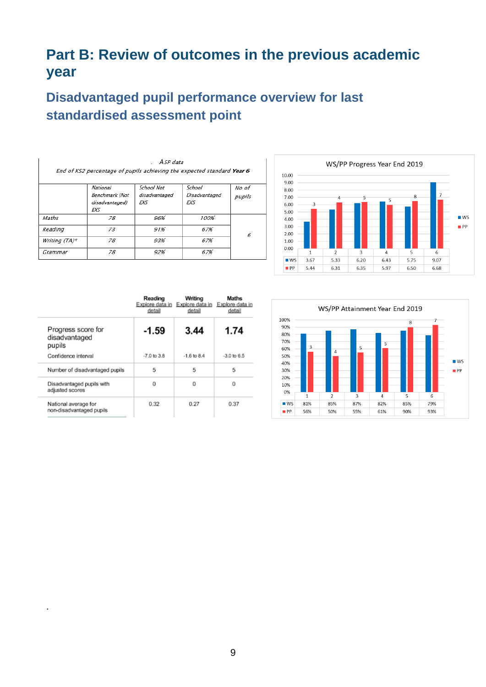# **Part B: Review of outcomes in the previous academic year**

# **Disadvantaged pupil performance overview for last standardised assessment point**

|               |                                                                        | A SP data                           | End of KS2 percentage of pupils achieving the expected standard Year 6 |                 |
|---------------|------------------------------------------------------------------------|-------------------------------------|------------------------------------------------------------------------|-----------------|
|               | <b>National</b><br>Benchmark (Not<br>disadvantaged)<br>EXS <sub></sub> | School Not<br>disadvantaged<br>EXS. | School<br>Disadvantaged<br>EXS                                         | No of<br>pupils |
| Maths         | 78                                                                     | 96%                                 | 100%                                                                   |                 |
| Reading       | 73                                                                     | 91%                                 | 67%                                                                    | 6               |
| Writing (TA)* | 78                                                                     | 93%                                 | 67%                                                                    |                 |
| Grammar       | 78                                                                     | 92%                                 | 67%                                                                    |                 |



|                                                  | Reading<br>Explore data in<br>detail | Writing<br>Explore data in<br>detail | <b>Maths</b><br>Explore data in<br>detail |
|--------------------------------------------------|--------------------------------------|--------------------------------------|-------------------------------------------|
| Progress score for<br>disadvantaged<br>pupils    | $-1.59$                              | 3.44                                 | 1.74                                      |
| Confidence interval                              | $-7.0$ to $3.8$                      | $-1.6$ to $8.4$                      | $-3.0$ to $6.5$                           |
| Number of disadvantaged pupils                   | 5                                    | 5                                    | 5                                         |
| Disadvantaged pupils with<br>adjusted scores     | 0                                    | $\Omega$                             | $\Omega$                                  |
| National average for<br>non-disadvantaged pupils | 0.32                                 | 0.27                                 | 0.37                                      |

.